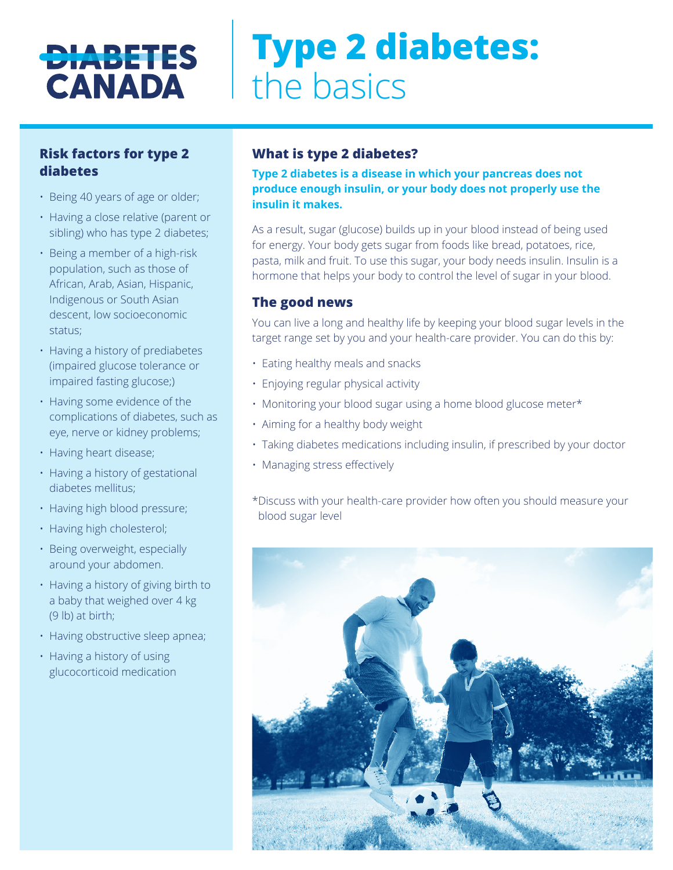## **DIABETES CANADA**

# **Type 2 diabetes:**  the basics

#### **Risk factors for type 2 diabetes**

- Being 40 years of age or older;
- Having a close relative (parent or sibling) who has type 2 diabetes;
- Being a member of a high-risk population, such as those of African, Arab, Asian, Hispanic, Indigenous or South Asian descent, low socioeconomic status;
- Having a history of prediabetes (impaired glucose tolerance or impaired fasting glucose;)
- Having some evidence of the complications of diabetes, such as eye, nerve or kidney problems;
- Having heart disease;
- Having a history of gestational diabetes mellitus;
- Having high blood pressure;
- Having high cholesterol;
- Being overweight, especially around your abdomen.
- Having a history of giving birth to a baby that weighed over 4 kg (9 lb) at birth;
- Having obstructive sleep apnea;
- Having a history of using glucocorticoid medication

#### **What is type 2 diabetes?**

**Type 2 diabetes is a disease in which your pancreas does not produce enough insulin, or your body does not properly use the insulin it makes.** 

As a result, sugar (glucose) builds up in your blood instead of being used for energy. Your body gets sugar from foods like bread, potatoes, rice, pasta, milk and fruit. To use this sugar, your body needs insulin. Insulin is a hormone that helps your body to control the level of sugar in your blood.

#### **The good news**

You can live a long and healthy life by keeping your blood sugar levels in the target range set by you and your health-care provider. You can do this by:

- Eating healthy meals and snacks
- Enjoying regular physical activity
- Monitoring your blood sugar using a home blood glucose meter\*
- Aiming for a healthy body weight
- Taking diabetes medications including insulin, if prescribed by your doctor
- Managing stress effectively
- \*Discuss with your health-care provider how often you should measure your blood sugar level